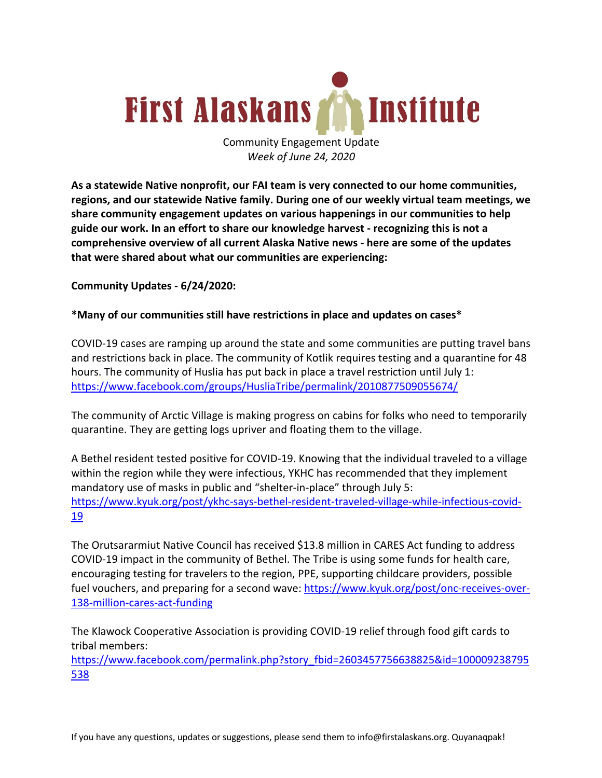

Community Engagement Update *Week of June 24, 2020*

**As a statewide Native nonprofit, our FAI team is very connected to our home communities, regions, and our statewide Native family. During one of our weekly virtual team meetings, we share community engagement updates on various happenings in our communities to help guide our work. In an effort to share our knowledge harvest - recognizing this is not a comprehensive overview of all current Alaska Native news - here are some of the updates that were shared about what our communities are experiencing:**

**Community Updates - 6/24/2020:**

#### **\*Many of our communities still have restrictions in place and updates on cases\***

COVID-19 cases are ramping up around the state and some communities are putting travel bans and restrictions back in place. The community of Kotlik requires testing and a quarantine for 48 hours. The community of Huslia has put back in place a travel restriction until July 1: https://www.facebook.com/groups/HusliaTribe/permalink/2010877509055674/

The community of Arctic Village is making progress on cabins for folks who need to temporarily quarantine. They are getting logs upriver and floating them to the village.

A Bethel resident tested positive for COVID-19. Knowing that the individual traveled to a village within the region while they were infectious, YKHC has recommended that they implement mandatory use of masks in public and "shelter-in-place" through July 5: https://www.kyuk.org/post/ykhc-says-bethel-resident-traveled-village-while-infectious-covid-19

The Orutsararmiut Native Council has received \$13.8 million in CARES Act funding to address COVID-19 impact in the community of Bethel. The Tribe is using some funds for health care, encouraging testing for travelers to the region, PPE, supporting childcare providers, possible fuel vouchers, and preparing for a second wave: https://www.kyuk.org/post/onc-receives-over-138-million-cares-act-funding

The Klawock Cooperative Association is providing COVID-19 relief through food gift cards to tribal members:

https://www.facebook.com/permalink.php?story\_fbid=2603457756638825&id=100009238795 538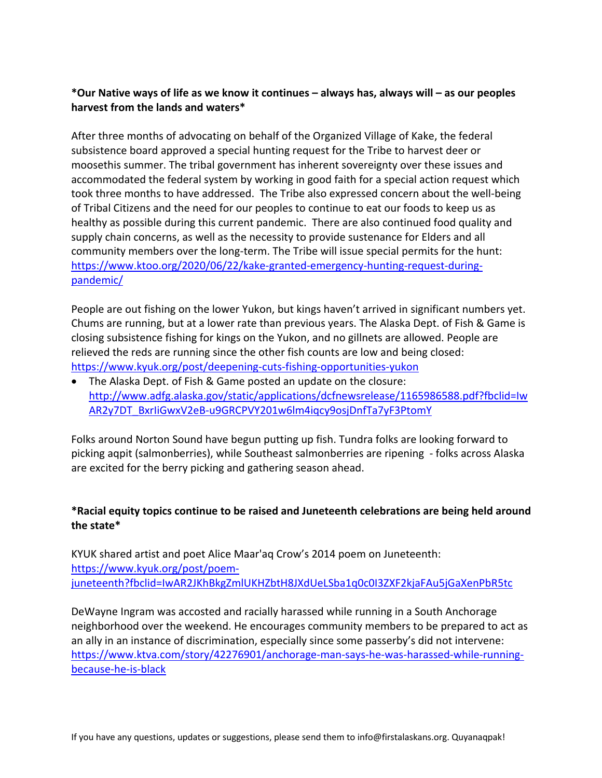## **\*Our Native ways of life as we know it continues – always has, always will – as our peoples harvest from the lands and waters\***

After three months of advocating on behalf of the Organized Village of Kake, the federal subsistence board approved a special hunting request for the Tribe to harvest deer or moosethis summer. The tribal government has inherent sovereignty over these issues and accommodated the federal system by working in good faith for a special action request which took three months to have addressed. The Tribe also expressed concern about the well-being of Tribal Citizens and the need for our peoples to continue to eat our foods to keep us as healthy as possible during this current pandemic. There are also continued food quality and supply chain concerns, as well as the necessity to provide sustenance for Elders and all community members over the long-term. The Tribe will issue special permits for the hunt: https://www.ktoo.org/2020/06/22/kake-granted-emergency-hunting-request-duringpandemic/

People are out fishing on the lower Yukon, but kings haven't arrived in significant numbers yet. Chums are running, but at a lower rate than previous years. The Alaska Dept. of Fish & Game is closing subsistence fishing for kings on the Yukon, and no gillnets are allowed. People are relieved the reds are running since the other fish counts are low and being closed: https://www.kyuk.org/post/deepening-cuts-fishing-opportunities-yukon

• The Alaska Dept. of Fish & Game posted an update on the closure: http://www.adfg.alaska.gov/static/applications/dcfnewsrelease/1165986588.pdf?fbclid=Iw AR2y7DT\_BxrIiGwxV2eB-u9GRCPVY201w6lm4iqcy9osjDnfTa7yF3PtomY

Folks around Norton Sound have begun putting up fish. Tundra folks are looking forward to picking aqpit (salmonberries), while Southeast salmonberries are ripening - folks across Alaska are excited for the berry picking and gathering season ahead.

## **\*Racial equity topics continue to be raised and Juneteenth celebrations are being held around the state\***

KYUK shared artist and poet Alice Maar'aq Crow's 2014 poem on Juneteenth: https://www.kyuk.org/post/poemjuneteenth?fbclid=IwAR2JKhBkgZmlUKHZbtH8JXdUeLSba1q0c0I3ZXF2kjaFAu5jGaXenPbR5tc

DeWayne Ingram was accosted and racially harassed while running in a South Anchorage neighborhood over the weekend. He encourages community members to be prepared to act as an ally in an instance of discrimination, especially since some passerby's did not intervene: https://www.ktva.com/story/42276901/anchorage-man-says-he-was-harassed-while-runningbecause-he-is-black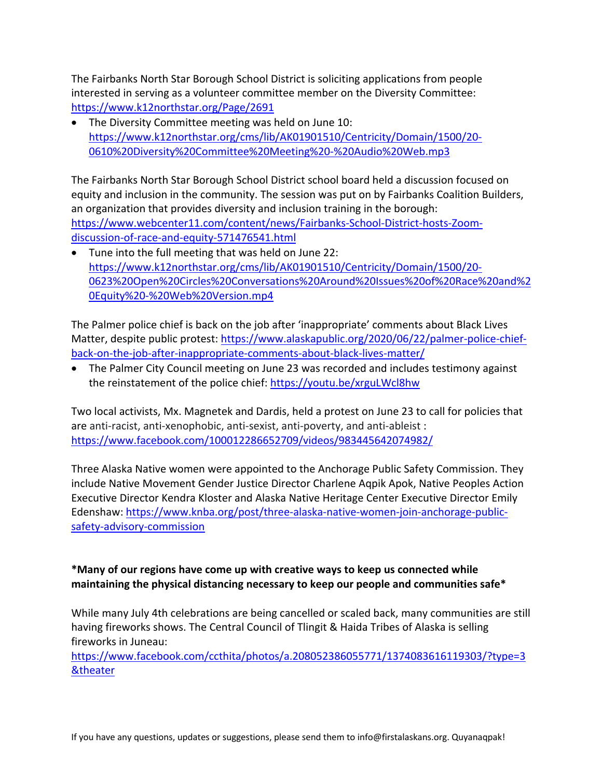The Fairbanks North Star Borough School District is soliciting applications from people interested in serving as a volunteer committee member on the Diversity Committee: https://www.k12northstar.org/Page/2691

The Diversity Committee meeting was held on June 10: https://www.k12northstar.org/cms/lib/AK01901510/Centricity/Domain/1500/20- 0610%20Diversity%20Committee%20Meeting%20-%20Audio%20Web.mp3

The Fairbanks North Star Borough School District school board held a discussion focused on equity and inclusion in the community. The session was put on by Fairbanks Coalition Builders, an organization that provides diversity and inclusion training in the borough: https://www.webcenter11.com/content/news/Fairbanks-School-District-hosts-Zoomdiscussion-of-race-and-equity-571476541.html

• Tune into the full meeting that was held on June 22: https://www.k12northstar.org/cms/lib/AK01901510/Centricity/Domain/1500/20- 0623%20Open%20Circles%20Conversations%20Around%20Issues%20of%20Race%20and%2 0Equity%20-%20Web%20Version.mp4

The Palmer police chief is back on the job after 'inappropriate' comments about Black Lives Matter, despite public protest: https://www.alaskapublic.org/2020/06/22/palmer-police-chiefback-on-the-job-after-inappropriate-comments-about-black-lives-matter/

• The Palmer City Council meeting on June 23 was recorded and includes testimony against the reinstatement of the police chief: https://youtu.be/xrguLWcl8hw

Two local activists, Mx. Magnetek and Dardis, held a protest on June 23 to call for policies that are anti-racist, anti-xenophobic, anti-sexist, anti-poverty, and anti-ableist : https://www.facebook.com/100012286652709/videos/983445642074982/

Three Alaska Native women were appointed to the Anchorage Public Safety Commission. They include Native Movement Gender Justice Director Charlene Aqpik Apok, Native Peoples Action Executive Director Kendra Kloster and Alaska Native Heritage Center Executive Director Emily Edenshaw: https://www.knba.org/post/three-alaska-native-women-join-anchorage-publicsafety-advisory-commission

# **\*Many of our regions have come up with creative ways to keep us connected while maintaining the physical distancing necessary to keep our people and communities safe\***

While many July 4th celebrations are being cancelled or scaled back, many communities are still having fireworks shows. The Central Council of Tlingit & Haida Tribes of Alaska is selling fireworks in Juneau:

https://www.facebook.com/ccthita/photos/a.208052386055771/1374083616119303/?type=3 &theater